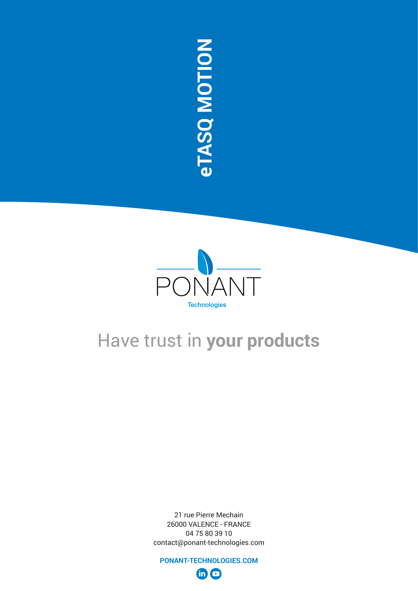

21 rue Pierre Mechain 26000 VALENCE - FRANCE 04 75 80 39 10 contact@ponant-technologies.com

**PONANT-TECHNOLOGIES.COM**  $\oplus$